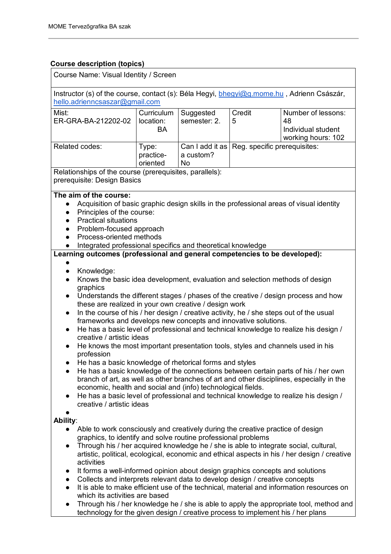#### **Course description (topics)**

| Course Name: Visual Identity / Screen                                                                                                                                                                                                                                                                                                                                                                                                                                                                                                                                                                                                                                                                                                                                                                                                                                                                                                                                                                                                                                                                                                                   |                                |                           |                                                |                                                                                                                                                                                                                                                                                                                                                                            |
|---------------------------------------------------------------------------------------------------------------------------------------------------------------------------------------------------------------------------------------------------------------------------------------------------------------------------------------------------------------------------------------------------------------------------------------------------------------------------------------------------------------------------------------------------------------------------------------------------------------------------------------------------------------------------------------------------------------------------------------------------------------------------------------------------------------------------------------------------------------------------------------------------------------------------------------------------------------------------------------------------------------------------------------------------------------------------------------------------------------------------------------------------------|--------------------------------|---------------------------|------------------------------------------------|----------------------------------------------------------------------------------------------------------------------------------------------------------------------------------------------------------------------------------------------------------------------------------------------------------------------------------------------------------------------------|
| Instructor (s) of the course, contact (s): Béla Hegyi, bhegyi@g.mome.hu, Adrienn Császár,<br>hello.adrienncsaszar@gmail.com                                                                                                                                                                                                                                                                                                                                                                                                                                                                                                                                                                                                                                                                                                                                                                                                                                                                                                                                                                                                                             |                                |                           |                                                |                                                                                                                                                                                                                                                                                                                                                                            |
| Mist:<br>ER-GRA-BA-212202-02                                                                                                                                                                                                                                                                                                                                                                                                                                                                                                                                                                                                                                                                                                                                                                                                                                                                                                                                                                                                                                                                                                                            | Curriculum<br>location:<br>BA  | Suggested<br>semester: 2. | Credit<br>5                                    | Number of lessons:<br>48<br>Individual student<br>working hours: 102                                                                                                                                                                                                                                                                                                       |
| Related codes:                                                                                                                                                                                                                                                                                                                                                                                                                                                                                                                                                                                                                                                                                                                                                                                                                                                                                                                                                                                                                                                                                                                                          | Type:<br>practice-<br>oriented | a custom?<br>No           | Can I add it as   Reg. specific prerequisites: |                                                                                                                                                                                                                                                                                                                                                                            |
| Relationships of the course (prerequisites, parallels):<br>prerequisite: Design Basics                                                                                                                                                                                                                                                                                                                                                                                                                                                                                                                                                                                                                                                                                                                                                                                                                                                                                                                                                                                                                                                                  |                                |                           |                                                |                                                                                                                                                                                                                                                                                                                                                                            |
| The aim of the course:<br>Acquisition of basic graphic design skills in the professional areas of visual identity<br>$\bullet$<br>Principles of the course:<br>$\bullet$<br><b>Practical situations</b><br>$\bullet$<br>Problem-focused approach<br>Process-oriented methods<br>$\bullet$<br>Integrated professional specifics and theoretical knowledge<br>Learning outcomes (professional and general competencies to be developed):                                                                                                                                                                                                                                                                                                                                                                                                                                                                                                                                                                                                                                                                                                                  |                                |                           |                                                |                                                                                                                                                                                                                                                                                                                                                                            |
| Knowledge:<br>$\bullet$<br>Knows the basic idea development, evaluation and selection methods of design<br>$\bullet$<br>graphics<br>Understands the different stages / phases of the creative / design process and how<br>$\bullet$<br>these are realized in your own creative / design work<br>In the course of his / her design / creative activity, he / she steps out of the usual<br>$\bullet$<br>frameworks and develops new concepts and innovative solutions.<br>He has a basic level of professional and technical knowledge to realize his design /<br>$\bullet$<br>creative / artistic ideas<br>He knows the most important presentation tools, styles and channels used in his<br>$\bullet$<br>profession<br>He has a basic knowledge of rhetorical forms and styles<br>He has a basic knowledge of the connections between certain parts of his / her own<br>branch of art, as well as other branches of art and other disciplines, especially in the<br>economic, health and social and (info) technological fields.<br>He has a basic level of professional and technical knowledge to realize his design /<br>creative / artistic ideas |                                |                           |                                                |                                                                                                                                                                                                                                                                                                                                                                            |
| Ability:<br>Able to work consciously and creatively during the creative practice of design<br>$\bullet$<br>graphics, to identify and solve routine professional problems<br>$\bullet$<br>activities<br>It forms a well-informed opinion about design graphics concepts and solutions<br>$\bullet$<br>Collects and interprets relevant data to develop design / creative concepts<br>$\bullet$<br>$\bullet$<br>which its activities are based<br>$\bullet$<br>technology for the given design / creative process to implement his / her plans                                                                                                                                                                                                                                                                                                                                                                                                                                                                                                                                                                                                            |                                |                           |                                                | Through his / her acquired knowledge he / she is able to integrate social, cultural,<br>artistic, political, ecological, economic and ethical aspects in his / her design / creative<br>It is able to make efficient use of the technical, material and information resources on<br>Through his / her knowledge he / she is able to apply the appropriate tool, method and |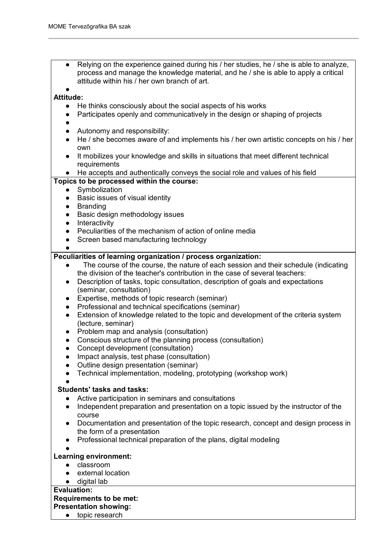Relying on the experience gained during his  $/$  her studies, he  $/$  she is able to analyze, process and manage the knowledge material, and he / she is able to apply a critical attitude within his / her own branch of art.

#### ● **Attitude:**

- He thinks consciously about the social aspects of his works
- Participates openly and communicatively in the design or shaping of projects
- ●
- Autonomy and responsibility:
- He / she becomes aware of and implements his / her own artistic concepts on his / her own
- It mobilizes your knowledge and skills in situations that meet different technical **requirements**
- He accepts and authentically conveys the social role and values of his field

#### **Topics to be processed within the course:**

- Symbolization
- Basic issues of visual identity
- Branding
- Basic design methodology issues
- **•** Interactivity
- Peculiarities of the mechanism of action of online media
- Screen based manufacturing technology

●

#### **Peculiarities of learning organization / process organization:**

- The course of the course, the nature of each session and their schedule (indicating the division of the teacher's contribution in the case of several teachers:
- Description of tasks, topic consultation, description of goals and expectations (seminar, consultation)
- Expertise, methods of topic research (seminar)
- Professional and technical specifications (seminar)
- Extension of knowledge related to the topic and development of the criteria system (lecture, seminar)
- Problem map and analysis (consultation)
- Conscious structure of the planning process (consultation)
- Concept development (consultation)
- Impact analysis, test phase (consultation)
- Outline design presentation (seminar)
- Technical implementation, modeling, prototyping (workshop work)

#### ●  **Students' tasks and tasks:**

- Active participation in seminars and consultations
- Independent preparation and presentation on a topic issued by the instructor of the course
- Documentation and presentation of the topic research, concept and design process in the form of a presentation
- Professional technical preparation of the plans, digital modeling
- ●

#### **Learning environment:**

- classroom
- external location
- digital lab

#### **Evaluation:**

#### **Requirements to be met:**

- **Presentation showing:**
	- topic research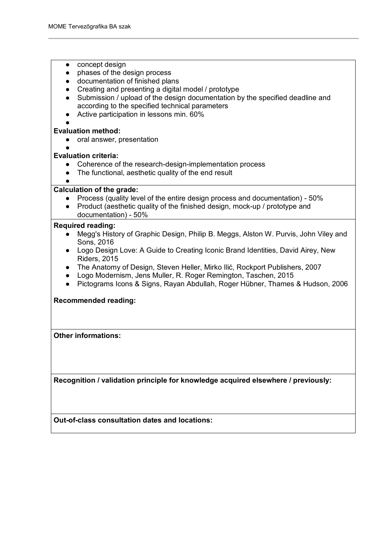| concept design<br>phases of the design process<br>$\bullet$<br>documentation of finished plans<br>Creating and presenting a digital model / prototype<br>Submission / upload of the design documentation by the specified deadline and<br>according to the specified technical parameters<br>Active participation in lessons min. 60%                                                                                                                                                                            |
|------------------------------------------------------------------------------------------------------------------------------------------------------------------------------------------------------------------------------------------------------------------------------------------------------------------------------------------------------------------------------------------------------------------------------------------------------------------------------------------------------------------|
| <b>Evaluation method:</b>                                                                                                                                                                                                                                                                                                                                                                                                                                                                                        |
| oral answer, presentation                                                                                                                                                                                                                                                                                                                                                                                                                                                                                        |
|                                                                                                                                                                                                                                                                                                                                                                                                                                                                                                                  |
| <b>Evaluation criteria:</b>                                                                                                                                                                                                                                                                                                                                                                                                                                                                                      |
| Coherence of the research-design-implementation process                                                                                                                                                                                                                                                                                                                                                                                                                                                          |
| The functional, aesthetic quality of the end result                                                                                                                                                                                                                                                                                                                                                                                                                                                              |
|                                                                                                                                                                                                                                                                                                                                                                                                                                                                                                                  |
| <b>Calculation of the grade:</b>                                                                                                                                                                                                                                                                                                                                                                                                                                                                                 |
| Process (quality level of the entire design process and documentation) - 50%                                                                                                                                                                                                                                                                                                                                                                                                                                     |
| Product (aesthetic quality of the finished design, mock-up / prototype and                                                                                                                                                                                                                                                                                                                                                                                                                                       |
| documentation) - 50%                                                                                                                                                                                                                                                                                                                                                                                                                                                                                             |
| <b>Required reading:</b><br>Megg's History of Graphic Design, Philip B. Meggs, Alston W. Purvis, John Viley and<br>Sons, 2016<br>Logo Design Love: A Guide to Creating Iconic Brand Identities, David Airey, New<br>$\bullet$<br><b>Riders, 2015</b><br>The Anatomy of Design, Steven Heller, Mirko Ilić, Rockport Publishers, 2007<br>Logo Modernism, Jens Muller, R. Roger Remington, Taschen, 2015<br>$\bullet$<br>Pictograms Icons & Signs, Rayan Abdullah, Roger Hübner, Thames & Hudson, 2006<br>$\bullet$ |
| <b>Recommended reading:</b>                                                                                                                                                                                                                                                                                                                                                                                                                                                                                      |
| <b>Other informations:</b>                                                                                                                                                                                                                                                                                                                                                                                                                                                                                       |
|                                                                                                                                                                                                                                                                                                                                                                                                                                                                                                                  |
| Recognition / validation principle for knowledge acquired elsewhere / previously:                                                                                                                                                                                                                                                                                                                                                                                                                                |
|                                                                                                                                                                                                                                                                                                                                                                                                                                                                                                                  |
|                                                                                                                                                                                                                                                                                                                                                                                                                                                                                                                  |
|                                                                                                                                                                                                                                                                                                                                                                                                                                                                                                                  |
|                                                                                                                                                                                                                                                                                                                                                                                                                                                                                                                  |

**Out-of-class consultation dates and locations:**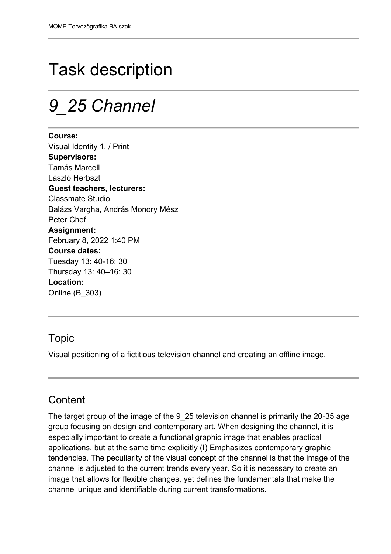# Task description

## *9\_25 Channel*

**Course:** Visual Identity 1. / Print **Supervisors:** Tamás Marcell László Herbszt **Guest teachers, lecturers:** Classmate Studio Balázs Vargha, András Monory Mész Peter Chef **Assignment:** February 8, 2022 1:40 PM **Course dates:** Tuesday 13: 40-16: 30 Thursday 13: 40–16: 30 **Location:** Online (B\_303)

### Topic

Visual positioning of a fictitious television channel and creating an offline image.

### **Content**

The target group of the image of the 9 25 television channel is primarily the 20-35 age group focusing on design and contemporary art. When designing the channel, it is especially important to create a functional graphic image that enables practical applications, but at the same time explicitly (!) Emphasizes contemporary graphic tendencies. The peculiarity of the visual concept of the channel is that the image of the channel is adjusted to the current trends every year. So it is necessary to create an image that allows for flexible changes, yet defines the fundamentals that make the channel unique and identifiable during current transformations.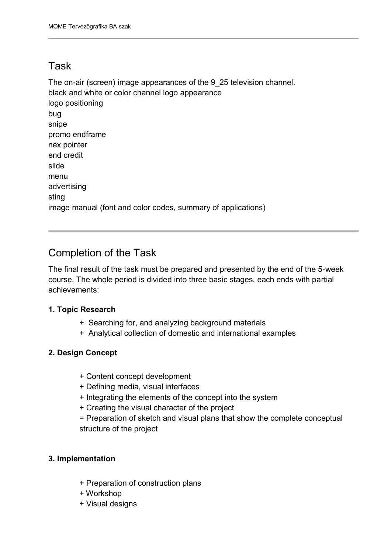### Task

The on-air (screen) image appearances of the 9\_25 television channel. black and white or color channel logo appearance logo positioning bug snipe promo endframe nex pointer end credit slide menu advertising sting image manual (font and color codes, summary of applications)

## Completion of the Task

The final result of the task must be prepared and presented by the end of the 5-week course. The whole period is divided into three basic stages, each ends with partial achievements:

#### **1. Topic Research**

- + Searching for, and analyzing background materials
- + Analytical collection of domestic and international examples

#### **2. Design Concept**

- + Content concept development
- + Defining media, visual interfaces
- + Integrating the elements of the concept into the system
- + Creating the visual character of the project
- = Preparation of sketch and visual plans that show the complete conceptual structure of the project

#### **3. Implementation**

- + Preparation of construction plans
- + Workshop
- + Visual designs